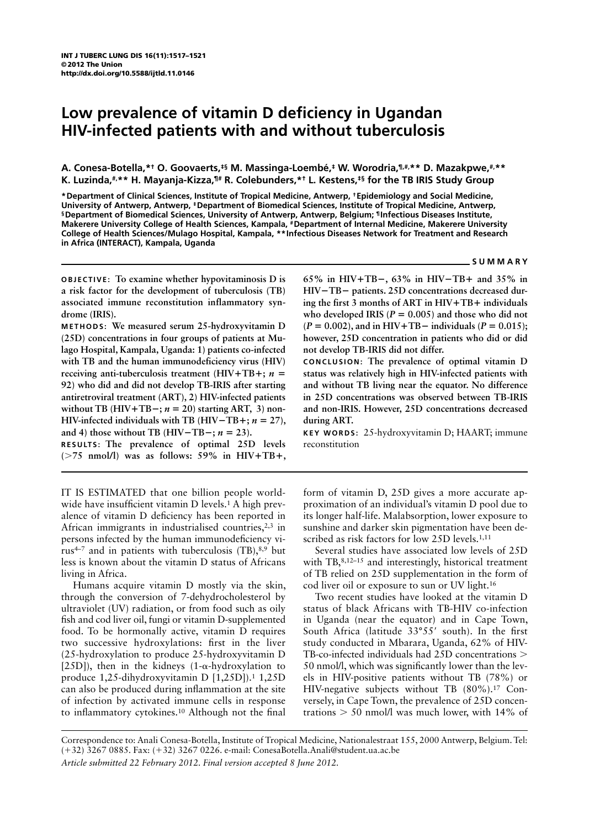# **Low prevalence of vitamin D deficiency in Ugandan HIV-infected patients with and without tuberculosis**

**A. Conesa-Botella,\*† O. Goovaerts,‡§ M. Massinga-Loembé,‡ W. Worodria,¶,#,\*\* D. Mazakpwe,#,\*\* K. Luzinda,#,\*\* H. Mayanja-Kizza,¶# R. Colebunders,\*† L. Kestens,‡§ for the TB IRIS Study Group**

**\*Department of Clinical Sciences, Institute of Tropical Medicine, Antwerp, † Epidemiology and Social Medicine, University of Antwerp, Antwerp, ‡ Department of Biomedical Sciences, Institute of Tropical Medicine, Antwerp, § Department of Biomedical Sciences, University of Antwerp, Antwerp, Belgium; ¶ Infectious Diseases Institute, Makerere University College of Health Sciences, Kampala, # Department of Internal Medicine, Makerere University College of Health Sciences/Mulago Hospital, Kampala, \*\*Infectious Diseases Network for Treatment and Research in Africa (INTERACT), Kampala, Uganda** 

#### **SUMMARY**

**OBJECTIVE: To examine whether hypovitaminosis D is a risk factor for the development of tuberculosis (TB) associated immune reconstitution inflammatory syndrome (IRIS).**

**METHODS: We measured serum 25-hydroxyvitamin D (25D) concentrations in four groups of patients at Mulago Hospital, Kampala, Uganda: 1) patients co-infected with TB and the human immunodeficiency virus (HIV) receiving anti-tuberculosis treatment (HIV**+**TB**+**;** *n* = **92) who did and did not develop TB-IRIS after starting antiretroviral treatment (ART), 2) HIV-infected patients**  without TB (HIV+TB $-$ ;  $n = 20$ ) starting ART, 3) non-**HIV-infected individuals with TB (HIV**−**TB**+**;** *n* = **27), and 4) those without TB (HIV**−**TB**−**;** *n* = **23). RESULTS: The prevalence of optimal 25D levels (**>**75 nmol/l) was as follows: 59% in HIV**+**TB**+**,** 

IT IS ESTIMATED that one billion people worldwide have insufficient vitamin D levels.<sup>1</sup> A high prevalence of vitamin D deficiency has been reported in African immigrants in industrialised countries, $2,3$  in persons infected by the human immunodeficiency virus<sup>4–7</sup> and in patients with tuberculosis  $(TB)$ ,  $8.9$  but less is known about the vitamin D status of Africans living in Africa.

Humans acquire vitamin D mostly via the skin, through the conversion of 7-dehydrocholesterol by ultraviolet (UV) radiation, or from food such as oily fish and cod liver oil, fungi or vitamin D-supplemented food. To be hormonally active, vitamin D requires two successive hydroxylations: first in the liver (25-hydroxylation to produce 25-hydroxyvitamin D [25D]), then in the kidneys (1- $\alpha$ -hydroxylation to produce 1,25-dihydroxyvitamin D [1,25D]).1 1,25D can also be produced during inflammation at the site of infection by activated immune cells in response to inflammatory cytokines.<sup>10</sup> Although not the final

**65% in HIV**+**TB**−**, 63% in HIV**−**TB**+ **and 35% in HIV**−**TB**− **patients. 25D concentrations decreased during the first 3 months of ART in HIV**+**TB**+ **individuals**  who developed IRIS ( $P = 0.005$ ) and those who did not **(***P* = **0.002), and in HIV**+**TB**− **individuals (***P* = **0.015); however, 25D concentration in patients who did or did not develop TB-IRIS did not differ.** 

**CONCLUSION: The prevalence of optimal vitamin D status was relatively high in HIV-infected patients with and without TB living near the equator. No difference in 25D concentrations was observed between TB-IRIS and non-IRIS. However, 25D concentrations decreased during ART.** 

**KEY WORDS:** 25-hydroxyvitamin D; HAART; immune reconstitution

form of vitamin D, 25D gives a more accurate approximation of an individual's vitamin D pool due to its longer half-life. Malabsorption, lower exposure to sunshine and darker skin pigmentation have been described as risk factors for low 25D levels.<sup>1,11</sup>

Several studies have associated low levels of 25D with TB,<sup>8,12–15</sup> and interestingly, historical treatment of TB relied on 25D supplementation in the form of cod liver oil or exposure to sun or UV light.16

Two recent studies have looked at the vitamin D status of black Africans with TB-HIV co-infection in Uganda (near the equator) and in Cape Town, South Africa (latitude 33°55' south). In the first study conducted in Mbarara, Uganda, 62% of HIV-TB-co-infected individuals had  $25D$  concentrations  $>$ 50 nmol/l, which was significantly lower than the levels in HIV-positive patients without TB (78%) or HIV-negative subjects without TB (80%).17 Conversely, in Cape Town, the prevalence of 25D concentrations  $> 50$  nmol/l was much lower, with 14% of

Correspondence to: Anali Conesa-Botella, Institute of Tropical Medicine, Nationalestraat 155, 2000 Antwerp, Belgium. Tel: (+32) 3267 0885. Fax: (+32) 3267 0226. e-mail: ConesaBotella.Anali@student.ua.ac.be *Article submitted 22 February 2012. Final version accepted 8 June 2012.*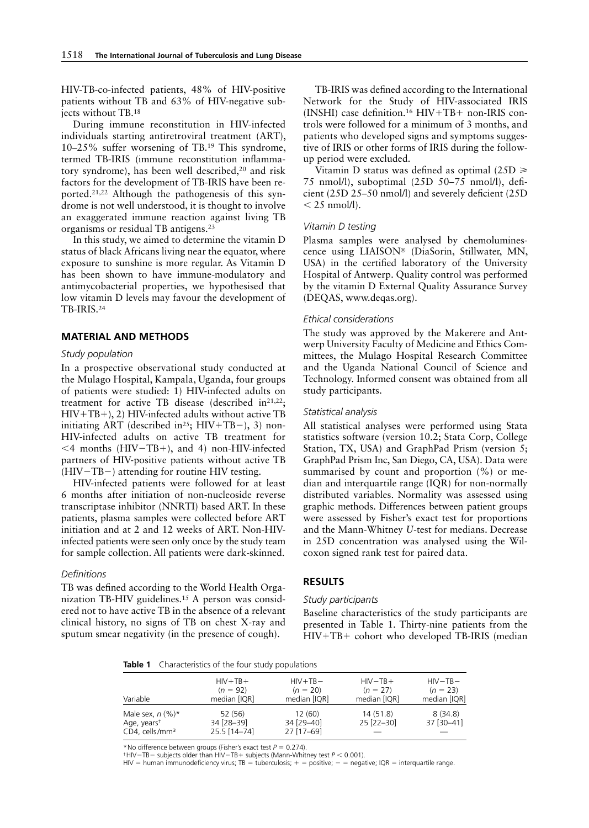HIV-TB-co-infected patients, 48% of HIV-positive patients without TB and 63% of HIV-negative subjects without TB.18

During immune reconstitution in HIV-infected individuals starting antiretroviral treatment (ART), 10–25% suffer worsening of TB.19 This syndrome, termed TB-IRIS (immune reconstitution inflammatory syndrome), has been well described,20 and risk factors for the development of TB-IRIS have been reported.21,22 Although the pathogenesis of this syndrome is not well understood, it is thought to involve an exaggerated immune reaction against living TB organisms or residual TB antigens.23

In this study, we aimed to determine the vitamin D status of black Africans living near the equator, where exposure to sunshine is more regular. As Vitamin D has been shown to have immune-modulatory and antimycobacterial properties, we hypothesised that low vitamin D levels may favour the development of TB-IRIS.24

### **MATERIAL AND METHODS**

## *Study population*

In a prospective observational study conducted at the Mulago Hospital, Kampala, Uganda, four groups of patients were studied: 1) HIV-infected adults on treatment for active TB disease (described  $in^{21,22}$ ; HIV+TB+), 2) HIV-infected adults without active TB initiating ART (described in<sup>25</sup>; HIV+TB−), 3) non-HIV-infected adults on active TB treatment for <4 months (HIV−TB+), and 4) non-HIV-infected partners of HIV-positive patients without active TB (HIV−TB−) attending for routine HIV testing.

HIV-infected patients were followed for at least 6 months after initiation of non-nucleoside reverse transcriptase inhibitor (NNRTI) based ART. In these patients, plasma samples were collected before ART initiation and at 2 and 12 weeks of ART. Non-HIVinfected patients were seen only once by the study team for sample collection. All patients were dark-skinned.

## *Definitions*

TB was defined according to the World Health Organization TB-HIV guidelines.15 A person was considered not to have active TB in the absence of a relevant clinical history, no signs of TB on chest X-ray and sputum smear negativity (in the presence of cough).

TB-IRIS was defined according to the International Network for the Study of HIV-associated IRIS (INSHI) case definition.<sup>16</sup> HIV+TB+ non-IRIS controls were followed for a minimum of 3 months, and patients who developed signs and symptoms suggestive of IRIS or other forms of IRIS during the followup period were excluded.

Vitamin D status was defined as optimal (25D  $\geq$ 75 nmol/l), suboptimal  $(25D 50-75$  nmol/l), deficient (25D 25–50 nmol/l) and severely deficient (25D  $<$  25 nmol/l).

#### *Vitamin D testing*

Plasma samples were analysed by chemoluminescence using LIAISON® (DiaSorin, Stillwater, MN, USA) in the certified laboratory of the University Hospital of Antwerp. Quality control was performed by the vitamin D External Quality Assurance Survey (DEQAS, www.deqas.org).

#### *Ethical considerations*

The study was approved by the Makerere and Antwerp University Faculty of Medicine and Ethics Committees, the Mulago Hospital Research Committee and the Uganda National Council of Science and Technology. Informed consent was obtained from all study participants.

## *Statistical analysis*

All statistical analyses were performed using Stata statistics software (version 10.2; Stata Corp, College Station, TX, USA) and GraphPad Prism (version 5; GraphPad Prism Inc, San Diego, CA, USA). Data were summarised by count and proportion  $(\%)$  or median and interquartile range (IQR) for non-normally distributed variables. Normality was assessed using graphic methods. Differences between patient groups were assessed by Fisher's exact test for proportions and the Mann-Whitney *U*-test for medians. Decrease in 25D concentration was analysed using the Wilcoxon signed rank test for paired data.

#### **RESULTS**

## *Study participants*

Baseline characteristics of the study participants are presented in Table 1. Thirty-nine patients from the HIV+TB+ cohort who developed TB-IRIS (median

**Table 1** Characteristics of the four study populations

| Variable                                                                    | $HIV + TB +$                          | $HIV + TB -$                       | $HIV-TB+$              | $HIV-TB-$             |
|-----------------------------------------------------------------------------|---------------------------------------|------------------------------------|------------------------|-----------------------|
|                                                                             | $(n = 92)$                            | $(n = 20)$                         | $(n = 27)$             | $(n = 23)$            |
|                                                                             | median [IQR]                          | median [IQR]                       | median [IQR]           | median [IQR]          |
| Male sex, $n$ (%)*<br>Age, years <sup>+</sup><br>CD4. cells/mm <sup>3</sup> | 52 (56)<br>34 [28-39]<br>25.5 [14-74] | 12(60)<br>34 [29-40]<br>27 [17-69] | 14(51.8)<br>25 [22-30] | 8(34.8)<br>37 [30-41] |

\* No difference between groups (Fisher's exact test  $P = 0.274$ ).

† HIV−TB− subjects older than HIV−TB+ subjects (Mann-Whitney test *P* < 0.001).

HIV = human immunodeficiency virus; TB = tuberculosis; + = positive; - = negative; IQR = interquartile range.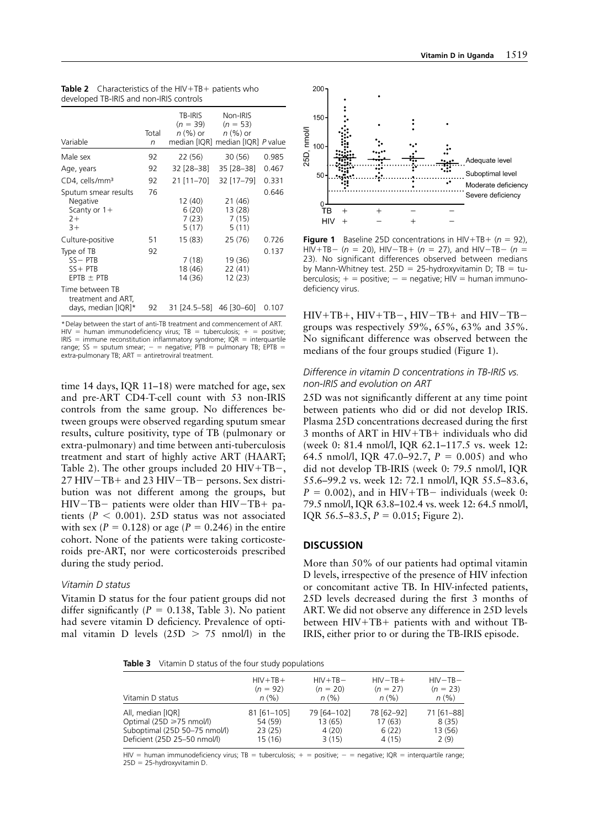| Variable                                                           | Total<br>n | TB-IRIS<br>$(n = 39)$<br><i>n</i> (%) or | Non-IRIS<br>$(n = 53)$<br>$n \left( % \right)$ or<br>median [IQR] median [IQR] P value |       |
|--------------------------------------------------------------------|------------|------------------------------------------|----------------------------------------------------------------------------------------|-------|
| Male sex                                                           | 92         | 22 (56)                                  | 30 (56)                                                                                | 0.985 |
| Age, years                                                         | 92         | 32 [28–38]                               | 35 [28-38]                                                                             | 0.467 |
| CD4, cells/mm <sup>3</sup>                                         | 92         | 21 [11-70]                               | 32 [17-79]                                                                             | 0.331 |
| Sputum smear results<br>Negative<br>Scanty or $1+$<br>$2+$<br>$3+$ | 76         | 12 (40)<br>6 (20)<br>7 (23)<br>5(17)     | 21 (46)<br>13(28)<br>7(15)<br>5(11)                                                    | 0.646 |
| Culture-positive                                                   | 51         | 15(83)                                   | 25 (76)                                                                                | 0.726 |
| Type of TB<br>$SS - PTB$<br>$SS + PTB$<br>$EPTB \pm PTB$           | 92         | 7(18)<br>18 (46)<br>14 (36)              | 19 (36)<br>22(41)<br>12(23)                                                            | 0.137 |
| Time between TB<br>treatment and ART,<br>days, median [IQR]*       | 92         |                                          | 31 [24.5–58] 46 [30–60]                                                                | 0.107 |

Table 2 Characteristics of the HIV+TB+ patients who developed TB-IRIS and non-IRIS controls

\*Delay between the start of anti-TB treatment and commencement of ART. HIV = human immunodeficiency virus; TB = tuberculosis; + = positive;  $IRIS =$  immune reconstitution inflammatory syndrome;  $IQR =$  interquartile range; SS = sputum smear;  $-$  = negative; PTB = pulmonary TB; EPTB = extra-pulmonary TB; ART = antiretroviral treatment.

time 14 days, IQR 11–18) were matched for age, sex and pre-ART CD4-T-cell count with 53 non-IRIS controls from the same group. No differences between groups were observed regarding sputum smear results, culture positivity, type of TB (pulmonary or extra-pulmonary) and time between anti-tuberculosis treatment and start of highly active ART (HAART; Table 2). The other groups included 20 HIV+TB−, 27 HIV−TB+ and 23 HIV−TB− persons. Sex distribution was not different among the groups, but HIV−TB− patients were older than HIV−TB+ patients  $(P < 0.001)$ . 25D status was not associated with sex  $(P = 0.128)$  or age  $(P = 0.246)$  in the entire cohort. None of the patients were taking corticosteroids pre-ART, nor were corticosteroids prescribed during the study period.

# *Vitamin D status*

Vitamin D status for the four patient groups did not differ significantly  $(P = 0.138,$  Table 3). No patient had severe vitamin D deficiency. Prevalence of optimal vitamin D levels  $(25D > 75 \text{ nmol/l})$  in the



**Figure 1** Baseline 25D concentrations in  $H_1V + TB + (n = 92)$ , HIV+TB− (*n* = 20), HIV−TB+ (*n* = 27), and HIV−TB− (*n* = 23). No significant differences observed between medians by Mann-Whitney test.  $25D = 25$ -hydroxyvitamin D; TB = tuberculosis;  $+$  = positive;  $-$  = negative; HIV = human immunodeficiency virus.

HIV+TB+, HIV+TB−, HIV−TB+ and HIV−TB− groups was respectively 59%, 65%, 63% and 35%. No significant difference was observed between the medians of the four groups studied (Figure 1).

# *Difference in vitamin D concentrations in TB-IRIS vs. non-IRIS and evolution on ART*

25D was not significantly different at any time point between patients who did or did not develop IRIS. Plasma 25D concentrations decreased during the first 3 months of ART in HIV+TB+ individuals who did (week 0: 81.4 nmol/l, IQR 62.1–117.5 vs. week 12: 64.5 nmol/l, IQR 47.0–92.7, *P* = 0.005) and who did not develop TB-IRIS (week 0: 79.5 nmol/l, IQR 55.6–99.2 vs. week 12: 72.1 nmol/l, IQR 55.5–83.6,  $P = 0.002$ ), and in HIV+TB− individuals (week 0: 79.5 nmol/l, IQR 63.8–102.4 vs. week 12: 64.5 nmol/l, IQR 56.5–83.5,  $P = 0.015$ ; Figure 2).

# **DISCUSSION**

More than 50% of our patients had optimal vitamin D levels, irrespective of the presence of HIV infection or concomitant active TB. In HIV-infected patients, 25D levels decreased during the first 3 months of ART. We did not observe any difference in 25D levels between HIV+TB+ patients with and without TB-IRIS, either prior to or during the TB-IRIS episode.

**Table 3** Vitamin D status of the four study populations

| Vitamin D status              | $HIV + TB +$  | $HIV + TB -$ | $HIV-TB+$  | $HIV-TB-$  |
|-------------------------------|---------------|--------------|------------|------------|
|                               | $(n = 92)$    | $(n = 20)$   | $(n = 27)$ | $(n = 23)$ |
|                               | n(% )         | n(%)         | $n (\%)$   | $n (\%)$   |
| All, median [IQR]             | $81$ [61-105] | 79 [64-102]  | 78 [62-92] | 71 [61-88] |
| Optimal (25D ≥75 nmol/l)      | 54 (59)       | 13(65)       | 17(63)     | 8(35)      |
| Suboptimal (25D 50–75 nmol/l) | 23(25)        | 4(20)        | 6(22)      | 13(56)     |
| Deficient (25D 25–50 nmol/l)  | 15 (16)       | 3(15)        | 4(15)      | 2(9)       |

HIV = human immunodeficiency virus; TB = tuberculosis; + = positive; - = negative; IQR = interquartile range; 25D = 25-hydroxyvitamin D.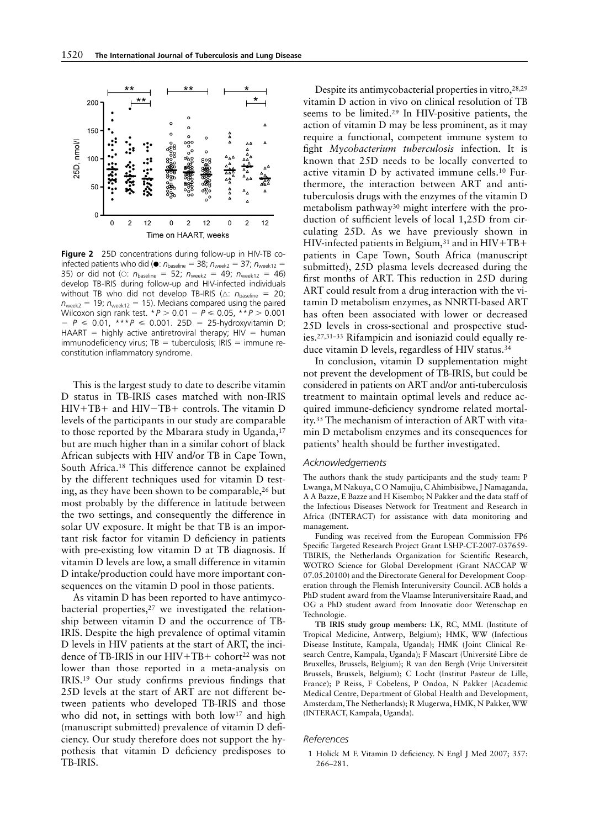

**Figure 2** 25D concentrations during follow-up in HIV-TB coinfected patients who did ( $\bullet$ :  $n_{\text{baseline}} = 38$ ;  $n_{\text{week2}} = 37$ ;  $n_{\text{week12}} =$ 35) or did not ( $\circ$ :  $n_{\text{baseline}} = 52$ ;  $n_{\text{week2}} = 49$ ;  $n_{\text{week12}} = 46$ ) develop TB-IRIS during follow-up and HIV-infected individuals without TB who did not develop TB-IRIS (△:  $n_{\text{baseline}} = 20$ ;  $n_{\text{weak}} = 19$ ;  $n_{\text{weak}} = 15$ ). Medians compared using the paired Wilcoxon sign rank test. \**P* > 0.01 − *P* ⩽ 0.05, \*\**P* > 0.001 − *P* ⩽ 0.01, \*\*\**P* ⩽ 0.001. 25D = 25-hydroxyvitamin D; HAART = highly active antiretroviral therapy;  $H\overline{V}$  = human  $immunodeficiency virus; TB = tuberculosis; IRIS = immune re$ constitution inflammatory syndrome.

This is the largest study to date to describe vitamin D status in TB-IRIS cases matched with non-IRIS HIV+TB+ and HIV−TB+ controls. The vitamin D levels of the participants in our study are comparable to those reported by the Mbarara study in Uganda,<sup>17</sup> but are much higher than in a similar cohort of black African subjects with HIV and/or TB in Cape Town, South Africa.18 This difference cannot be explained by the different techniques used for vitamin D testing, as they have been shown to be comparable,  $26$  but most probably by the difference in latitude between the two settings, and consequently the difference in solar UV exposure. It might be that TB is an important risk factor for vitamin D deficiency in patients with pre-existing low vitamin D at TB diagnosis. If vitamin D levels are low, a small difference in vitamin D intake/production could have more important consequences on the vitamin D pool in those patients.

As vitamin D has been reported to have antimycobacterial properties, $27$  we investigated the relationship between vitamin D and the occurrence of TB-IRIS. Despite the high prevalence of optimal vitamin D levels in HIV patients at the start of ART, the incidence of TB-IRIS in our  $HIV+TB+$  cohort<sup>22</sup> was not lower than those reported in a meta-analysis on IRIS.<sup>19</sup> Our study confirms previous findings that 25D levels at the start of ART are not different between patients who developed TB-IRIS and those who did not, in settings with both low<sup>17</sup> and high (manuscript submitted) prevalence of vitamin D deficiency. Our study therefore does not support the hypothesis that vitamin D deficiency predisposes to TB-IRIS.

Despite its antimycobacterial properties in vitro, 28,29 vitamin D action in vivo on clinical resolution of TB seems to be limited.29 In HIV-positive patients, the action of vitamin D may be less prominent, as it may require a functional, competent immune system to fight *Mycobacterium tuberculosis* infection. It is known that 25D needs to be locally converted to active vitamin D by activated immune cells.<sup>10</sup> Furthermore, the interaction between ART and antituberculosis drugs with the enzymes of the vitamin D metabolism pathway30 might interfere with the production of sufficient levels of local  $1,25D$  from circulating 25D. As we have previously shown in HIV-infected patients in Belgium,  $31$  and in HIV+TB+ patients in Cape Town, South Africa (manuscript submitted), 25D plasma levels decreased during the first months of ART. This reduction in 25D during ART could result from a drug interaction with the vitamin D metabolism enzymes, as NNRTI-based ART has often been associated with lower or decreased 25D levels in cross-sectional and prospective studies.27,31–33 Rifampicin and isoniazid could equally reduce vitamin D levels, regardless of HIV status.34

In conclusion, vitamin D supplementation might not prevent the development of TB-IRIS, but could be considered in patients on ART and/or anti-tuberculosis treatment to maintain optimal levels and reduce acquired immune-deficiency syndrome related mortality.35 The mechanism of interaction of ART with vitamin D metabolism enzymes and its consequences for patients' health should be further investigated.

#### *Acknowledgements*

The authors thank the study participants and the study team: P Lwanga, M Nakuya, C O Namujju, C Ahimbisibwe, J Namaganda, A A Bazze, E Bazze and H Kisembo; N Pakker and the data staff of the Infectious Diseases Network for Treatment and Research in Africa (INTERACT) for assistance with data monitoring and management.

Funding was received from the European Commission FP6 Specific Targeted Research Project Grant LSHP-CT-2007-037659-TBIRIS, the Netherlands Organization for Scientific Research, WOTRO Science for Global Development (Grant NACCAP W 07.05.20100) and the Directorate General for Development Cooperation through the Flemish Interuniversity Council. ACB holds a PhD student award from the Vlaamse Interuniversitaire Raad, and OG a PhD student award from Innovatie door Wetenschap en Technologie.

**TB IRIS study group members:** LK, RC, MML (Institute of Tropical Medicine, Antwerp, Belgium); HMK, WW (Infectious Disease Institute, Kampala, Uganda); HMK (Joint Clinical Research Centre, Kampala, Uganda); F Mascart (Université Libre de Bruxelles, Brussels, Belgium); R van den Bergh (Vrije Universiteit Brussels, Brussels, Belgium); C Locht (Institut Pasteur de Lille, France); P Reiss, F Cobelens, P Ondoa, N Pakker (Academic Medical Centre, Department of Global Health and Development, Amsterdam, The Netherlands); R Mugerwa, HMK, N Pakker, WW (INTERACT, Kampala, Uganda).

## *References*

1 Holick M F. Vitamin D deficiency. N Engl J Med 2007; 357: 266–281.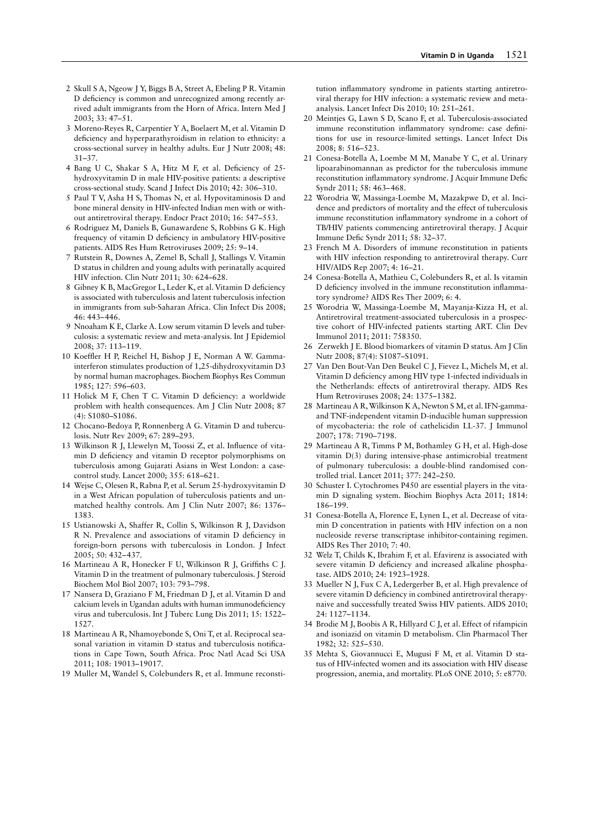- 2 Skull S A, Ngeow J Y, Biggs B A, Street A, Ebeling P R. Vitamin D deficiency is common and unrecognized among recently arrived adult immigrants from the Horn of Africa. Intern Med J 2003; 33: 47–51.
- 3 Moreno-Reyes R, Carpentier Y A, Boelaert M, et al. Vitamin D deficiency and hyperparathyroidism in relation to ethnicity: a cross-sectional survey in healthy adults. Eur J Nutr 2008; 48: 31–37.
- 4 Bang U C, Shakar S A, Hitz M F, et al. Deficiency of 25hydroxyvitamin D in male HIV-positive patients: a descriptive cross-sectional study. Scand J Infect Dis 2010; 42: 306–310.
- 5 Paul T V, Asha H S, Thomas N, et al. Hypovitaminosis D and bone mineral density in HIV-infected Indian men with or without antiretroviral therapy. Endocr Pract 2010; 16: 547–553.
- 6 Rodriguez M, Daniels B, Gunawardene S, Robbins G K. High frequency of vitamin D deficiency in ambulatory HIV-positive patients. AIDS Res Hum Retroviruses 2009; 25: 9–14.
- 7 Rutstein R, Downes A, Zemel B, Schall J, Stallings V. Vitamin D status in children and young adults with perinatally acquired HIV infection. Clin Nutr 2011; 30: 624–628.
- 8 Gibney K B, MacGregor L, Leder K, et al. Vitamin D deficiency is associated with tuberculosis and latent tuberculosis infection in immigrants from sub-Saharan Africa. Clin Infect Dis 2008; 46: 443– 446.
- 9 Nnoaham K E, Clarke A. Low serum vitamin D levels and tuberculosis: a systematic review and meta-analysis. Int J Epidemiol 2008; 37: 113–119.
- 10 Koeffler H P, Reichel H, Bishop J E, Norman A W. Gammainterferon stimulates production of 1,25-dihydroxyvitamin D3 by normal human macrophages. Biochem Biophys Res Commun 1985; 127: 596–603.
- 11 Holick M F, Chen T C. Vitamin D deficiency: a worldwide problem with health consequences. Am J Clin Nutr 2008; 87 (4): S1080–S1086.
- 12 Chocano-Bedoya P, Ronnenberg A G. Vitamin D and tuberculosis. Nutr Rev 2009; 67: 289–293.
- 13 Wilkinson R J, Llewelyn M, Toossi Z, et al. Influence of vitamin D deficiency and vitamin D receptor polymorphisms on tuberculosis among Gujarati Asians in West London: a casecontrol study. Lancet 2000; 355: 618–621.
- 14 Wejse C, Olesen R, Rabna P, et al. Serum 25-hydroxyvitamin D in a West African population of tuberculosis patients and unmatched healthy controls. Am J Clin Nutr 2007; 86: 1376– 1383.
- 15 Ustianowski A, Shaffer R, Collin S, Wilkinson R J, Davidson R N. Prevalence and associations of vitamin D deficiency in foreign-born persons with tuberculosis in London. J Infect 2005; 50: 432– 437.
- 16 Martineau A R, Honecker F U, Wilkinson R J, Griffiths C J. Vitamin D in the treatment of pulmonary tuberculosis. J Steroid Biochem Mol Biol 2007; 103: 793–798.
- 17 Nansera D, Graziano F M, Friedman D J, et al. Vitamin D and calcium levels in Ugandan adults with human immunodeficiency virus and tuberculosis. Int J Tuberc Lung Dis 2011; 15: 1522– 1527.
- 18 Martineau A R, Nhamoyebonde S, Oni T, et al. Reciprocal seasonal variation in vitamin D status and tuberculosis notifications in Cape Town, South Africa. Proc Natl Acad Sci USA 2011; 108: 19013–19017.
- 19 Muller M, Wandel S, Colebunders R, et al. Immune reconsti-

tution inflammatory syndrome in patients starting antiretroviral therapy for HIV infection: a systematic review and metaanalysis. Lancet Infect Dis 2010; 10: 251–261.

- 20 Meintjes G, Lawn S D, Scano F, et al. Tuberculosis-associated immune reconstitution inflammatory syndrome: case definitions for use in resource-limited settings. Lancet Infect Dis 2008; 8: 516–523.
- 21 Conesa-Botella A, Loembe M M, Manabe Y C, et al. Urinary lipoarabinomannan as predictor for the tuberculosis immune reconstitution inflammatory syndrome. J Acquir Immune Defic Syndr 2011; 58: 463– 468.
- 22 Worodria W, Massinga-Loembe M, Mazakpwe D, et al. Incidence and predictors of mortality and the effect of tuberculosis immune reconstitution inflammatory syndrome in a cohort of TB/HIV patients commencing antiretroviral therapy. J Acquir Immune Defic Syndr 2011; 58: 32-37.
- 23 French M A. Disorders of immune reconstitution in patients with HIV infection responding to antiretroviral therapy. Curr HIV/AIDS Rep 2007; 4: 16–21.
- 24 Conesa-Botella A, Mathieu C, Colebunders R, et al. Is vitamin D deficiency involved in the immune reconstitution inflammatory syndrome? AIDS Res Ther 2009; 6: 4.
- 25 Worodria W, Massinga-Loembe M, Mayanja-Kizza H, et al. Antiretroviral treatment-associated tuberculosis in a prospective cohort of HIV-infected patients starting ART. Clin Dev Immunol 2011; 2011: 758350.
- 26 Zerwekh J E. Blood biomarkers of vitamin D status. Am J Clin Nutr 2008; 87(4): S1087–S1091.
- 27 Van Den Bout-Van Den Beukel C J, Fievez L, Michels M, et al. Vitamin D deficiency among HIV type 1-infected individuals in the Netherlands: effects of antiretroviral therapy. AIDS Res Hum Retroviruses 2008; 24: 1375–1382.
- 28 Martineau A R, Wilkinson K A, Newton S M, et al. IFN-gammaand TNF-independent vitamin D-inducible human suppression of mycobacteria: the role of cathelicidin LL-37. J Immunol 2007; 178: 7190–7198.
- 29 Martineau A R, Timms P M, Bothamley G H, et al. High-dose vitamin D(3) during intensive-phase antimicrobial treatment of pulmonary tuberculosis: a double-blind randomised controlled trial. Lancet 2011; 377: 242–250.
- 30 Schuster I. Cytochromes P450 are essential players in the vitamin D signaling system. Biochim Biophys Acta 2011; 1814: 186–199.
- 31 Conesa-Botella A, Florence E, Lynen L, et al. Decrease of vitamin D concentration in patients with HIV infection on a non nucleoside reverse transcriptase inhibitor-containing regimen. AIDS Res Ther 2010; 7: 40.
- 32 Welz T, Childs K, Ibrahim F, et al. Efavirenz is associated with severe vitamin D deficiency and increased alkaline phosphatase. AIDS 2010; 24: 1923–1928.
- 33 Mueller N J, Fux C A, Ledergerber B, et al. High prevalence of severe vitamin D deficiency in combined antiretroviral therapynaive and successfully treated Swiss HIV patients. AIDS 2010; 24: 1127–1134.
- 34 Brodie M J, Boobis A R, Hillyard C J, et al. Effect of rifampicin and isoniazid on vitamin D metabolism. Clin Pharmacol Ther 1982; 32: 525–530.
- 35 Mehta S, Giovannucci E, Mugusi F M, et al. Vitamin D sta tus of HIV-infected women and its association with HIV disease progression, anemia, and mortality. PLoS ONE 2010; 5: e8770.